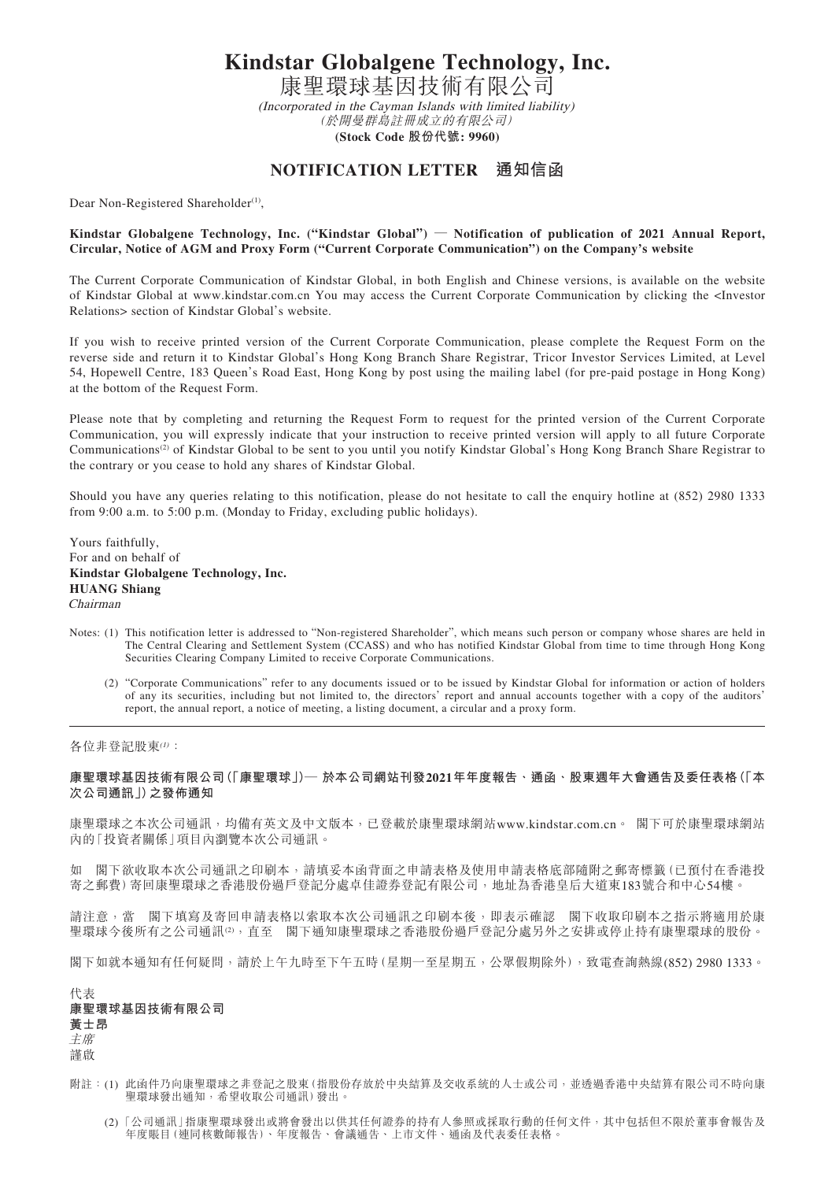**Kindstar Globalgene Technology, Inc.**

康聖環球基因技術有限公司 (Incorporated in the Cayman Islands with limited liability) (於開曼群島註冊成立的有限公司) **(Stock Code 股份代號: 9960)**

## **NOTIFICATION LETTER 通知信函**

Dear Non-Registered Shareholder<sup>(1)</sup>,

## **Kindstar Globalgene Technology, Inc. ("Kindstar Global") — Notification of publication of 2021 Annual Report, Circular, Notice of AGM and Proxy Form ("Current Corporate Communication") on the Company's website**

The Current Corporate Communication of Kindstar Global, in both English and Chinese versions, is available on the website of Kindstar Global at www.kindstar.com.cn You may access the Current Corporate Communication by clicking the <Investor Relations> section of Kindstar Global's website.

If you wish to receive printed version of the Current Corporate Communication, please complete the Request Form on the reverse side and return it to Kindstar Global's Hong Kong Branch Share Registrar, Tricor Investor Services Limited, at Level 54, Hopewell Centre, 183 Queen's Road East, Hong Kong by post using the mailing label (for pre-paid postage in Hong Kong) at the bottom of the Request Form.

Please note that by completing and returning the Request Form to request for the printed version of the Current Corporate Communication, you will expressly indicate that your instruction to receive printed version will apply to all future Corporate Communications<sup>(2)</sup> of Kindstar Global to be sent to you until you notify Kindstar Global's Hong Kong Branch Share Registrar to the contrary or you cease to hold any shares of Kindstar Global.

Should you have any queries relating to this notification, please do not hesitate to call the enquiry hotline at (852) 2980 1333 from 9:00 a.m. to 5:00 p.m. (Monday to Friday, excluding public holidays).

Yours faithfully, For and on behalf of **Kindstar Globalgene Technology, Inc. HUANG Shiang** Chairman

- Notes: (1) This notification letter is addressed to "Non-registered Shareholder", which means such person or company whose shares are held in The Central Clearing and Settlement System (CCASS) and who has notified Kindstar Global from time to time through Hong Kong Securities Clearing Company Limited to receive Corporate Communications.
	- (2) "Corporate Communications" refer to any documents issued or to be issued by Kindstar Global for information or action of holders of any its securities, including but not limited to, the directors' report and annual accounts together with a copy of the auditors' report, the annual report, a notice of meeting, a listing document, a circular and a proxy form.

各位非登記股東(1):

## **康聖環球基因技術有限公司(「康聖環球」)— 於本公司網站刊發2021年年度報告、通函、股東週年大會通告及委任表格(「本 次公司通訊」)之發佈通知**

康聖環球之本次公司通訊,均備有英文及中文版本,已登載於康聖環球網站www.kindstar.com.cn。 閣下可於康聖環球網站 內的「投資者關係」項目內瀏覽本次公司通訊。

如 閣下欲收取本次公司通訊之印刷本,請填妥本函背面之申請表格及使用申請表格底部隨附之郵寄標籤(已預付在香港投 寄之郵費)寄回康聖環球之香港股份過戶登記分處卓佳證券登記有限公司,地址為香港皇后大道東183號合和中心54樓。

請注意,當 閣下填寫及寄回申請表格以索取本次公司通訊之印刷本後,即表示確認 閣下收取印刷本之指示將適用於康 聖環球今後所有之公司通訊(2),直至 閣下通知康聖環球之香港股份過戶登記分處另外之安排或停止持有康聖環球的股份。

閣下如就本通知有任何疑問,請於上午九時至下午五時(星期一至星期五,公眾假期除外),致電查詢熱線(852) 2980 1333。

| 代表           |
|--------------|
| 康聖環球基因技術有限公司 |
| 黃士昂          |
| 主席           |
| 謹啟           |

- 附註: (1) 此函件乃向康聖環球之非登記之股東(指股份存放於中央結算及交收系統的人士或公司,並透過香港中央結算有限公司不時向康 聖環球發出通知,希望收取公司通訊)發出。
	- (2) 「公司通訊」指康聖環球發出或將會發出以供其任何證券的持有人參照或採取行動的任何文件,其中包括但不限於董事會報告及 年度賬目(連同核數師報告)、年度報告、會議通告、上市文件、通函及代表委任表格。